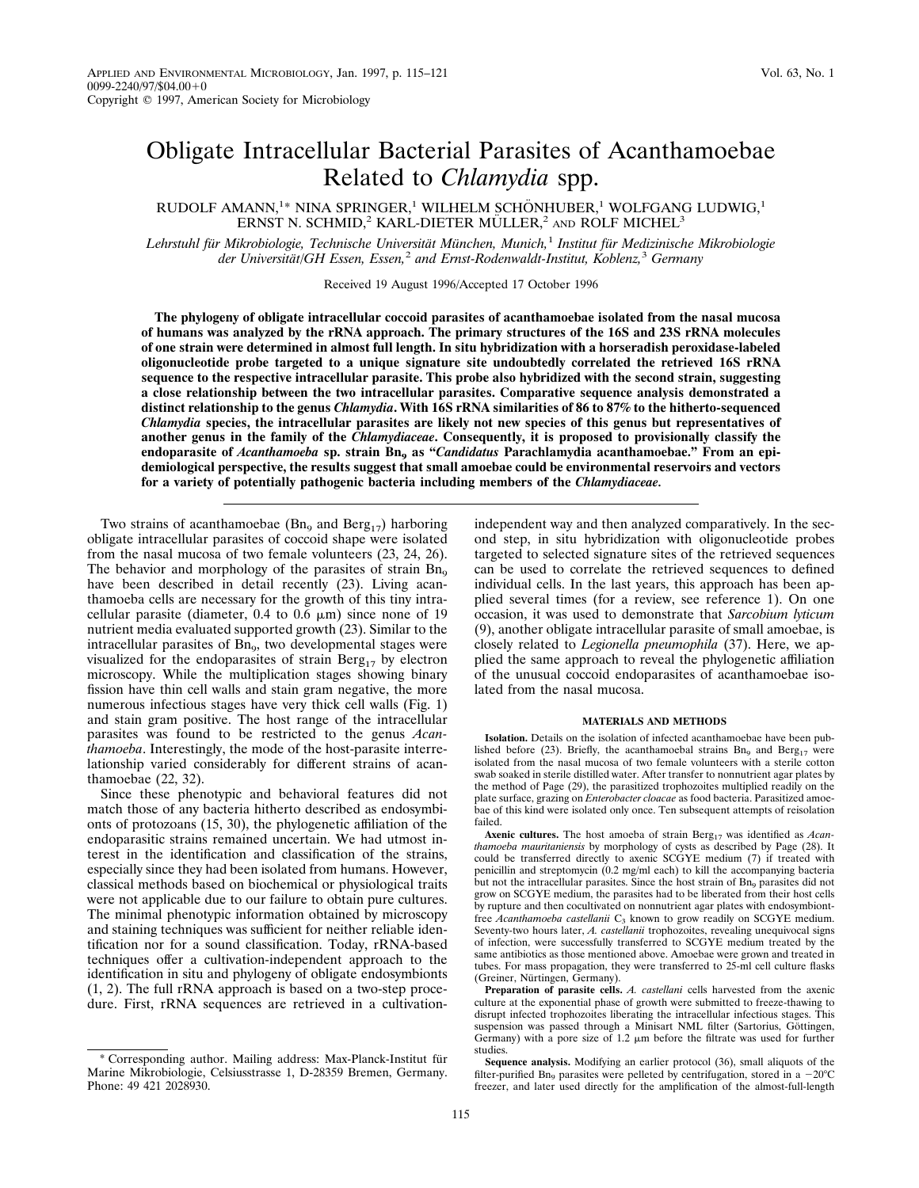# Obligate Intracellular Bacterial Parasites of Acanthamoebae Related to *Chlamydia* spp.

RUDOLF AMANN,<sup>1\*</sup> NINA SPRINGER,<sup>1</sup> WILHELM SCHÖNHUBER,<sup>1</sup> WOLFGANG LUDWIG,<sup>1</sup> ERNST N. SCHMID,<sup>2</sup> KARL-DIETER MÜLLER,<sup>2</sup> AND ROLF MICHEL<sup>3</sup>

*Lehrstuhl fu¨r Mikrobiologie, Technische Universita¨t Mu¨nchen, Munich,*<sup>1</sup> *Institut fu¨r Medizinische Mikrobiologie der Universita¨t/GH Essen, Essen,*<sup>2</sup> *and Ernst-Rodenwaldt-Institut, Koblenz,*<sup>3</sup> *Germany*

Received 19 August 1996/Accepted 17 October 1996

**The phylogeny of obligate intracellular coccoid parasites of acanthamoebae isolated from the nasal mucosa of humans was analyzed by the rRNA approach. The primary structures of the 16S and 23S rRNA molecules of one strain were determined in almost full length. In situ hybridization with a horseradish peroxidase-labeled oligonucleotide probe targeted to a unique signature site undoubtedly correlated the retrieved 16S rRNA sequence to the respective intracellular parasite. This probe also hybridized with the second strain, suggesting a close relationship between the two intracellular parasites. Comparative sequence analysis demonstrated a distinct relationship to the genus** *Chlamydia***. With 16S rRNA similarities of 86 to 87% to the hitherto-sequenced** *Chlamydia* **species, the intracellular parasites are likely not new species of this genus but representatives of another genus in the family of the** *Chlamydiaceae***. Consequently, it is proposed to provisionally classify the** endoparasite of *Acanthamoeba* sp. strain Bn<sub>9</sub> as "*Candidatus* Parachlamydia acanthamoebae." From an epi**demiological perspective, the results suggest that small amoebae could be environmental reservoirs and vectors for a variety of potentially pathogenic bacteria including members of the** *Chlamydiaceae.*

Two strains of acanthamoebae ( $Bn<sub>9</sub>$  and  $Berg<sub>17</sub>$ ) harboring obligate intracellular parasites of coccoid shape were isolated from the nasal mucosa of two female volunteers (23, 24, 26). The behavior and morphology of the parasites of strain  $Bn<sub>9</sub>$ have been described in detail recently (23). Living acanthamoeba cells are necessary for the growth of this tiny intracellular parasite (diameter,  $0.4$  to  $0.6 \mu m$ ) since none of 19 nutrient media evaluated supported growth (23). Similar to the intracellular parasites of  $Bn<sub>9</sub>$ , two developmental stages were visualized for the endoparasites of strain  $\text{Berg}_{17}$  by electron microscopy. While the multiplication stages showing binary fission have thin cell walls and stain gram negative, the more numerous infectious stages have very thick cell walls (Fig. 1) and stain gram positive. The host range of the intracellular parasites was found to be restricted to the genus *Acanthamoeba*. Interestingly, the mode of the host-parasite interrelationship varied considerably for different strains of acanthamoebae (22, 32).

Since these phenotypic and behavioral features did not match those of any bacteria hitherto described as endosymbionts of protozoans (15, 30), the phylogenetic affiliation of the endoparasitic strains remained uncertain. We had utmost interest in the identification and classification of the strains, especially since they had been isolated from humans. However, classical methods based on biochemical or physiological traits were not applicable due to our failure to obtain pure cultures. The minimal phenotypic information obtained by microscopy and staining techniques was sufficient for neither reliable identification nor for a sound classification. Today, rRNA-based techniques offer a cultivation-independent approach to the identification in situ and phylogeny of obligate endosymbionts (1, 2). The full rRNA approach is based on a two-step procedure. First, rRNA sequences are retrieved in a cultivation-

\* Corresponding author. Mailing address: Max-Planck-Institut fu¨r Marine Mikrobiologie, Celsiusstrasse 1, D-28359 Bremen, Germany. Phone: 49 421 2028930.

independent way and then analyzed comparatively. In the second step, in situ hybridization with oligonucleotide probes targeted to selected signature sites of the retrieved sequences can be used to correlate the retrieved sequences to defined individual cells. In the last years, this approach has been applied several times (for a review, see reference 1). On one occasion, it was used to demonstrate that *Sarcobium lyticum* (9), another obligate intracellular parasite of small amoebae, is closely related to *Legionella pneumophila* (37). Here, we applied the same approach to reveal the phylogenetic affiliation of the unusual coccoid endoparasites of acanthamoebae isolated from the nasal mucosa.

### **MATERIALS AND METHODS**

**Isolation.** Details on the isolation of infected acanthamoebae have been published before (23). Briefly, the acanthamoebal strains  $Bn<sub>9</sub>$  and  $Berg<sub>17</sub>$  were isolated from the nasal mucosa of two female volunteers with a sterile cotton swab soaked in sterile distilled water. After transfer to nonnutrient agar plates by the method of Page (29), the parasitized trophozoites multiplied readily on the plate surface, grazing on *Enterobacter cloacae* as food bacteria. Parasitized amoebae of this kind were isolated only once. Ten subsequent attempts of reisolation failed.

Axenic cultures. The host amoeba of strain Berg<sub>17</sub> was identified as *Acanthamoeba mauritaniensis* by morphology of cysts as described by Page (28). It could be transferred directly to axenic SCGYE medium (7) if treated with penicillin and streptomycin (0.2 mg/ml each) to kill the accompanying bacteria but not the intracellular parasites. Since the host strain of Bn<sub>9</sub> parasites did not grow on SCGYE medium, the parasites had to be liberated from their host cells by rupture and then cocultivated on nonnutrient agar plates with endosymbiontfree *Acanthamoeba castellanii* C<sub>3</sub> known to grow readily on SCGYE medium. Seventy-two hours later, *A. castellanii* trophozoites, revealing unequivocal signs of infection, were successfully transferred to SCGYE medium treated by the same antibiotics as those mentioned above. Amoebae were grown and treated in tubes. For mass propagation, they were transferred to 25-ml cell culture flasks (Greiner, Nürtingen, Germany).

**Preparation of parasite cells.** *A. castellani* cells harvested from the axenic culture at the exponential phase of growth were submitted to freeze-thawing to disrupt infected trophozoites liberating the intracellular infectious stages. This suspension was passed through a Minisart NML filter (Sartorius, Göttingen, Germany) with a pore size of 1.2  $\mu$ m before the filtrate was used for further studies.

**Sequence analysis.** Modifying an earlier protocol (36), small aliquots of the filter-purified Bn<sub>9</sub> parasites were pelleted by centrifugation, stored in a  $-20^{\circ}$ C freezer, and later used directly for the amplification of the almost-full-length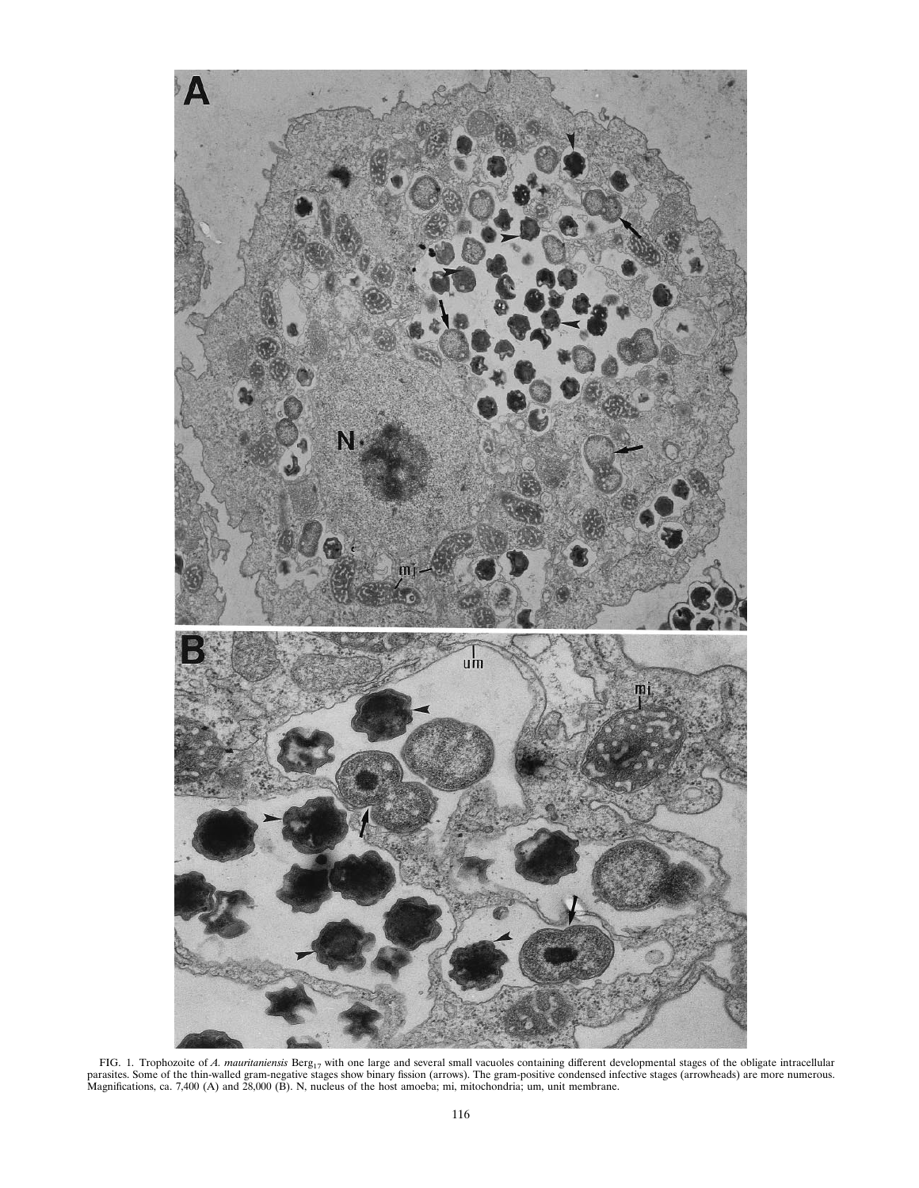

FIG. 1. Trophozoite of A. mauritaniensis Berg<sub>17</sub> with one large and several small vacuoles containing different developmental stages of the obligate intracellular parasites. Some of the thin-walled gram-negative stages s Magnifications, ca. 7,400 (A) and 28,000 (B). N, nucleus of the host amoeba; mi, mitochondria; um, unit membrane.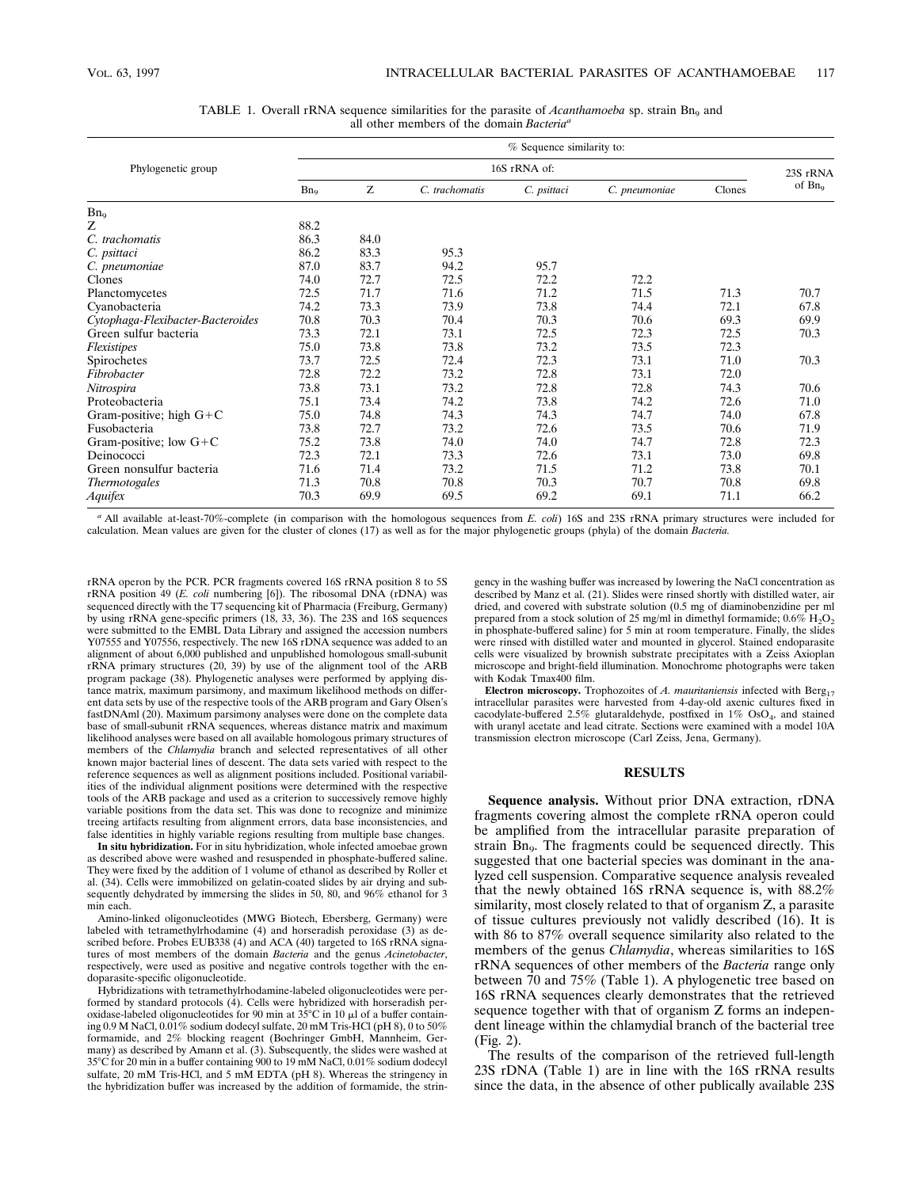|                                   | % Sequence similarity to: |      |                |             |               |        |          |
|-----------------------------------|---------------------------|------|----------------|-------------|---------------|--------|----------|
| Phylogenetic group                | 16S rRNA of:              |      |                |             |               |        | 23S rRNA |
|                                   | Bn <sub>o</sub>           | Ζ    | C. trachomatis | C. psittaci | C. pneumoniae | Clones | of $Bn9$ |
| Bn <sub>9</sub>                   |                           |      |                |             |               |        |          |
| Ζ                                 | 88.2                      |      |                |             |               |        |          |
| C. trachomatis                    | 86.3                      | 84.0 |                |             |               |        |          |
| C. psittaci                       | 86.2                      | 83.3 | 95.3           |             |               |        |          |
| C. pneumoniae                     | 87.0                      | 83.7 | 94.2           | 95.7        |               |        |          |
| Clones                            | 74.0                      | 72.7 | 72.5           | 72.2        | 72.2          |        |          |
| Planctomycetes                    | 72.5                      | 71.7 | 71.6           | 71.2        | 71.5          | 71.3   | 70.7     |
| Cyanobacteria                     | 74.2                      | 73.3 | 73.9           | 73.8        | 74.4          | 72.1   | 67.8     |
| Cytophaga-Flexibacter-Bacteroides | 70.8                      | 70.3 | 70.4           | 70.3        | 70.6          | 69.3   | 69.9     |
| Green sulfur bacteria             | 73.3                      | 72.1 | 73.1           | 72.5        | 72.3          | 72.5   | 70.3     |
| Flexistipes                       | 75.0                      | 73.8 | 73.8           | 73.2        | 73.5          | 72.3   |          |
| Spirochetes                       | 73.7                      | 72.5 | 72.4           | 72.3        | 73.1          | 71.0   | 70.3     |
| Fibrobacter                       | 72.8                      | 72.2 | 73.2           | 72.8        | 73.1          | 72.0   |          |
| Nitrospira                        | 73.8                      | 73.1 | 73.2           | 72.8        | 72.8          | 74.3   | 70.6     |
| Proteobacteria                    | 75.1                      | 73.4 | 74.2           | 73.8        | 74.2          | 72.6   | 71.0     |
| Gram-positive; high $G+C$         | 75.0                      | 74.8 | 74.3           | 74.3        | 74.7          | 74.0   | 67.8     |
| Fusobacteria                      | 73.8                      | 72.7 | 73.2           | 72.6        | 73.5          | 70.6   | 71.9     |
| Gram-positive; low $G + C$        | 75.2                      | 73.8 | 74.0           | 74.0        | 74.7          | 72.8   | 72.3     |
| Deinococci                        | 72.3                      | 72.1 | 73.3           | 72.6        | 73.1          | 73.0   | 69.8     |
| Green nonsulfur bacteria          | 71.6                      | 71.4 | 73.2           | 71.5        | 71.2          | 73.8   | 70.1     |
| <i>Thermotogales</i>              | 71.3                      | 70.8 | 70.8           | 70.3        | 70.7          | 70.8   | 69.8     |
| Aquifex                           | 70.3                      | 69.9 | 69.5           | 69.2        | 69.1          | 71.1   | 66.2     |

| TABLE 1. Overall rRNA sequence similarities for the parasite of <i>Acanthamoeba</i> sp. strain $B_n$ and |  |  |  |  |  |  |  |
|----------------------------------------------------------------------------------------------------------|--|--|--|--|--|--|--|
| all other members of the domain Bacteria <sup>a</sup>                                                    |  |  |  |  |  |  |  |

*<sup>a</sup>* All available at-least-70%-complete (in comparison with the homologous sequences from *E. coli*) 16S and 23S rRNA primary structures were included for calculation. Mean values are given for the cluster of clones (17) as well as for the major phylogenetic groups (phyla) of the domain *Bacteria.*

rRNA operon by the PCR. PCR fragments covered 16S rRNA position 8 to 5S rRNA position 49 (*E. coli* numbering [6]). The ribosomal DNA (rDNA) was sequenced directly with the T7 sequencing kit of Pharmacia (Freiburg, Germany) by using rRNA gene-specific primers (18, 33, 36). The 23S and 16S sequences were submitted to the EMBL Data Library and assigned the accession numbers Y07555 and Y07556, respectively. The new 16S rDNA sequence was added to an alignment of about 6,000 published and unpublished homologous small-subunit rRNA primary structures (20, 39) by use of the alignment tool of the ARB program package (38). Phylogenetic analyses were performed by applying distance matrix, maximum parsimony, and maximum likelihood methods on different data sets by use of the respective tools of the ARB program and Gary Olsen's fastDNAml (20). Maximum parsimony analyses were done on the complete data base of small-subunit rRNA sequences, whereas distance matrix and maximum likelihood analyses were based on all available homologous primary structures of members of the *Chlamydia* branch and selected representatives of all other known major bacterial lines of descent. The data sets varied with respect to the reference sequences as well as alignment positions included. Positional variabilities of the individual alignment positions were determined with the respective tools of the ARB package and used as a criterion to successively remove highly variable positions from the data set. This was done to recognize and minimize treeing artifacts resulting from alignment errors, data base inconsistencies, and false identities in highly variable regions resulting from multiple base changes.

**In situ hybridization.** For in situ hybridization, whole infected amoebae grown as described above were washed and resuspended in phosphate-buffered saline. They were fixed by the addition of 1 volume of ethanol as described by Roller et al. (34). Cells were immobilized on gelatin-coated slides by air drying and subsequently dehydrated by immersing the slides in 50, 80, and 96% ethanol for 3 min each.

Amino-linked oligonucleotides (MWG Biotech, Ebersberg, Germany) were labeled with tetramethylrhodamine (4) and horseradish peroxidase (3) as described before. Probes EUB338 (4) and ACA (40) targeted to 16S rRNA signatures of most members of the domain *Bacteria* and the genus *Acinetobacter*, respectively, were used as positive and negative controls together with the endoparasite-specific oligonucleotide.

Hybridizations with tetramethylrhodamine-labeled oligonucleotides were performed by standard protocols (4). Cells were hybridized with horseradish peroxidase-labeled oligonucleotides for 90 min at  $35^{\circ}$ C in 10  $\mu$ l of a buffer containing 0.9 M NaCl, 0.01% sodium dodecyl sulfate, 20 mM Tris-HCl (pH 8), 0 to 50% formamide, and 2% blocking reagent (Boehringer GmbH, Mannheim, Germany) as described by Amann et al. (3). Subsequently, the slides were washed at 35°C for 20 min in a buffer containing 900 to 19 mM NaCl, 0.01% sodium dodecyl sulfate, 20 mM Tris-HCl, and 5 mM EDTA (pH 8). Whereas the stringency in the hybridization buffer was increased by the addition of formamide, the stringency in the washing buffer was increased by lowering the NaCl concentration as described by Manz et al. (21). Slides were rinsed shortly with distilled water, air dried, and covered with substrate solution (0.5 mg of diaminobenzidine per ml prepared from a stock solution of 25 mg/ml in dimethyl formamide;  $0.6\%$  H<sub>2</sub>O<sub>2</sub> in phosphate-buffered saline) for 5 min at room temperature. Finally, the slides were rinsed with distilled water and mounted in glycerol. Stained endoparasite cells were visualized by brownish substrate precipitates with a Zeiss Axioplan microscope and bright-field illumination. Monochrome photographs were taken with Kodak Tmax400 film.

Electron microscopy. Trophozoites of *A. mauritaniensis* infected with Berg<sub>17</sub> intracellular parasites were harvested from 4-day-old axenic cultures fixed in cacodylate-buffered 2.5% glutaraldehyde, postfixed in 1% OsO<sub>4</sub>, and stained with uranyl acetate and lead citrate. Sections were examined with a model 10A transmission electron microscope (Carl Zeiss, Jena, Germany).

## **RESULTS**

**Sequence analysis.** Without prior DNA extraction, rDNA fragments covering almost the complete rRNA operon could be amplified from the intracellular parasite preparation of strain  $Bn<sub>9</sub>$ . The fragments could be sequenced directly. This suggested that one bacterial species was dominant in the analyzed cell suspension. Comparative sequence analysis revealed that the newly obtained 16S rRNA sequence is, with 88.2% similarity, most closely related to that of organism Z, a parasite of tissue cultures previously not validly described (16). It is with 86 to 87% overall sequence similarity also related to the members of the genus *Chlamydia*, whereas similarities to 16S rRNA sequences of other members of the *Bacteria* range only between 70 and 75% (Table 1). A phylogenetic tree based on 16S rRNA sequences clearly demonstrates that the retrieved sequence together with that of organism Z forms an independent lineage within the chlamydial branch of the bacterial tree (Fig. 2).

The results of the comparison of the retrieved full-length 23S rDNA (Table 1) are in line with the 16S rRNA results since the data, in the absence of other publically available 23S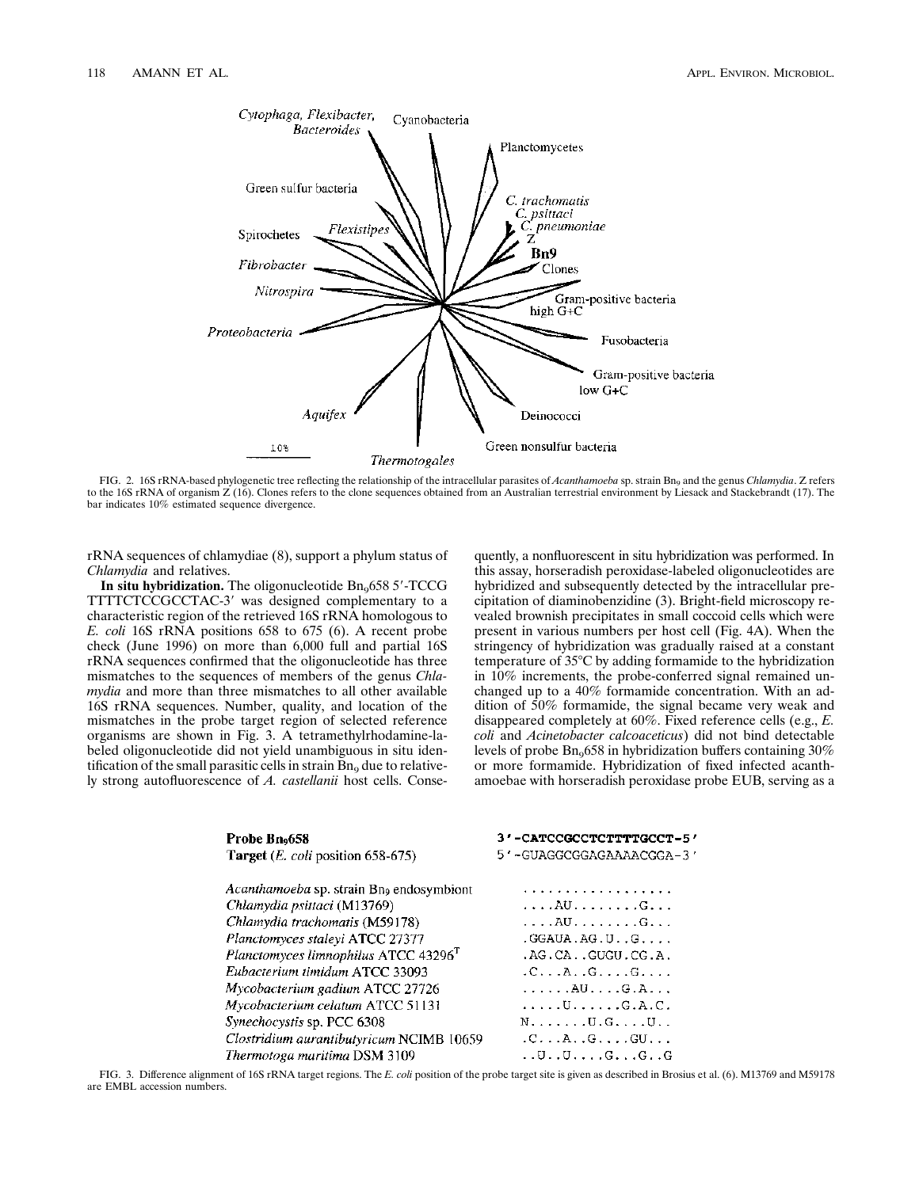

FIG. 2. 16S rRNA-based phylogenetic tree reflecting the relationship of the intracellular parasites of *Acanthamoeba* sp. strain Bn<sub>9</sub> and the genus *Chlamydia*. Z refers to the 16S rRNA of organism Z (16). Clones refers to the clone sequences obtained from an Australian terrestrial environment by Liesack and Stackebrandt (17). The bar indicates 10% estimated sequence divergence.

rRNA sequences of chlamydiae (8), support a phylum status of *Chlamydia* and relatives.

In situ hybridization. The oligonucleotide  $Bn<sub>9</sub>6585'$ -TCCG TTTTCTCCGCCTAC-3' was designed complementary to a characteristic region of the retrieved 16S rRNA homologous to *E. coli* 16S rRNA positions 658 to 675 (6). A recent probe check (June 1996) on more than 6,000 full and partial 16S rRNA sequences confirmed that the oligonucleotide has three mismatches to the sequences of members of the genus *Chlamydia* and more than three mismatches to all other available 16S rRNA sequences. Number, quality, and location of the mismatches in the probe target region of selected reference organisms are shown in Fig. 3. A tetramethylrhodamine-labeled oligonucleotide did not yield unambiguous in situ identification of the small parasitic cells in strain  $Bn<sub>9</sub>$  due to relatively strong autofluorescence of *A. castellanii* host cells. Consequently, a nonfluorescent in situ hybridization was performed. In this assay, horseradish peroxidase-labeled oligonucleotides are hybridized and subsequently detected by the intracellular precipitation of diaminobenzidine (3). Bright-field microscopy revealed brownish precipitates in small coccoid cells which were present in various numbers per host cell (Fig. 4A). When the stringency of hybridization was gradually raised at a constant temperature of  $35^{\circ}$ C by adding formamide to the hybridization in 10% increments, the probe-conferred signal remained unchanged up to a 40% formamide concentration. With an addition of 50% formamide, the signal became very weak and disappeared completely at 60%. Fixed reference cells (e.g., *E. coli* and *Acinetobacter calcoaceticus*) did not bind detectable levels of probe  $Bn<sub>9</sub>658$  in hybridization buffers containing 30% or more formamide. Hybridization of fixed infected acanthamoebae with horseradish peroxidase probe EUB, serving as a

| Probe Bno658                                         | 3'-CATCCGCCTCTTTTGCCT-5'                |  |  |  |
|------------------------------------------------------|-----------------------------------------|--|--|--|
| <b>Target</b> ( <i>E. coli</i> position 658-675)     | 5'-GUAGGCGGAGAAAACGGA-3'                |  |  |  |
| Acanthamoeba sp. strain Bn <sub>9</sub> endosymbiont | . <i>. .</i>                            |  |  |  |
| Chlamydia psittaci (M13769)                          | . AU G                                  |  |  |  |
| Chlamydia trachomatis (M59178)                       | . AU G                                  |  |  |  |
| Planctomyces staleyi ATCC 27377                      | $.GGAUA.AG.UG.$                         |  |  |  |
| Planctomyces limnophilus ATCC 43296 <sup>T</sup>     | .AG.CAGUGU.CG.A.                        |  |  |  |
| Eubacterium timidum ATCC 33093                       | $.C. \ldots A. . G. G.$                 |  |  |  |
| Mycobacterium gadium ATCC 27726                      | $\ldots$ $AU \ldots G.A \ldots$         |  |  |  |
| Mycobacterium celatum ATCC 51131                     | . U G . A . C .                         |  |  |  |
| Synechocystis sp. PCC 6308                           | $N, \ldots, \ldots, U, G, \ldots, U,$ . |  |  |  |
| Clostridium aurantibutyricum NCIMB 10659             | $.C. \ldots A. . G. \ldots G U. \ldots$ |  |  |  |
| Thermotoga maritima DSM 3109                         | $U. U. U. \ldots G. \ldots G. \ldots G$ |  |  |  |

FIG. 3. Difference alignment of 16S rRNA target regions. The *E. coli* position of the probe target site is given as described in Brosius et al. (6). M13769 and M59178 are EMBL accession numbers.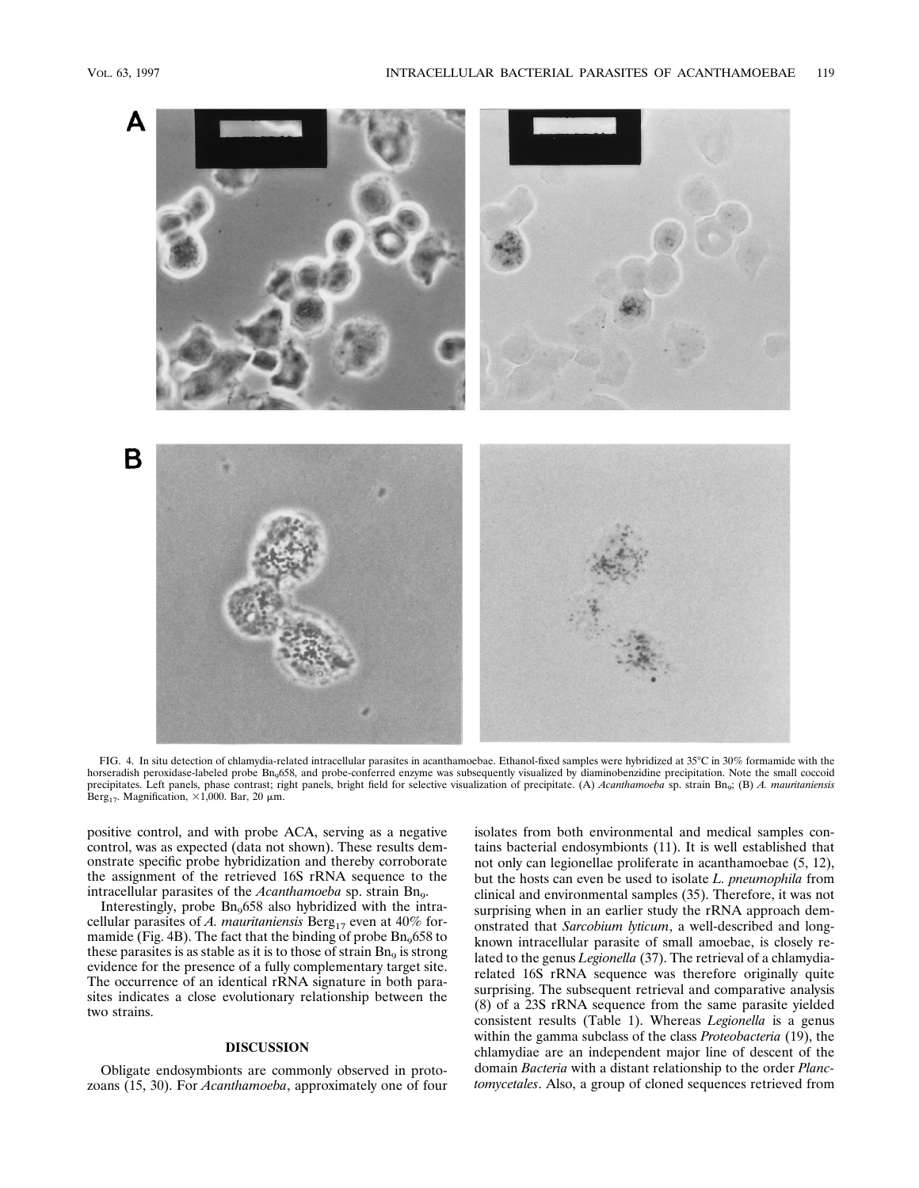

FIG. 4. In situ detection of chlamydia-related intracellular parasites in acanthamoebae. Ethanol-fixed samples were hybridized at 35°C in 30% formamide with the horseradish peroxidase-labeled probe Bn<sub>9</sub>658, and probe-conferred enzyme was subsequently visualized by diaminobenzidine precipitation. Note the small coccoid precipitates. Left panels, phase contrast; right panels, bright field for selective visualization of precipitate. (A) *Acanthamoeba* sp. strain Bn9; (B) *A. mauritaniensis* Berg<sub>17</sub>. Magnification,  $\times$ 1,000. Bar, 20  $\mu$ m.

positive control, and with probe ACA, serving as a negative control, was as expected (data not shown). These results demonstrate specific probe hybridization and thereby corroborate the assignment of the retrieved 16S rRNA sequence to the intracellular parasites of the *Acanthamoeba* sp. strain Bn<sub>9</sub>.

Interestingly, probe  $Bn<sub>9</sub>658$  also hybridized with the intracellular parasites of *A. mauritaniensis* Berg<sub>17</sub> even at 40% formamide (Fig. 4B). The fact that the binding of probe  $Bn<sub>9</sub>658$  to these parasites is as stable as it is to those of strain  $Bn<sub>9</sub>$  is strong evidence for the presence of a fully complementary target site. The occurrence of an identical rRNA signature in both parasites indicates a close evolutionary relationship between the two strains.

## **DISCUSSION**

Obligate endosymbionts are commonly observed in protozoans (15, 30). For *Acanthamoeba*, approximately one of four isolates from both environmental and medical samples contains bacterial endosymbionts (11). It is well established that not only can legionellae proliferate in acanthamoebae (5, 12), but the hosts can even be used to isolate *L. pneumophila* from clinical and environmental samples (35). Therefore, it was not surprising when in an earlier study the rRNA approach demonstrated that *Sarcobium lyticum*, a well-described and longknown intracellular parasite of small amoebae, is closely related to the genus *Legionella* (37). The retrieval of a chlamydiarelated 16S rRNA sequence was therefore originally quite surprising. The subsequent retrieval and comparative analysis (8) of a 23S rRNA sequence from the same parasite yielded consistent results (Table 1). Whereas *Legionella* is a genus within the gamma subclass of the class *Proteobacteria* (19), the chlamydiae are an independent major line of descent of the domain *Bacteria* with a distant relationship to the order *Planctomycetales*. Also, a group of cloned sequences retrieved from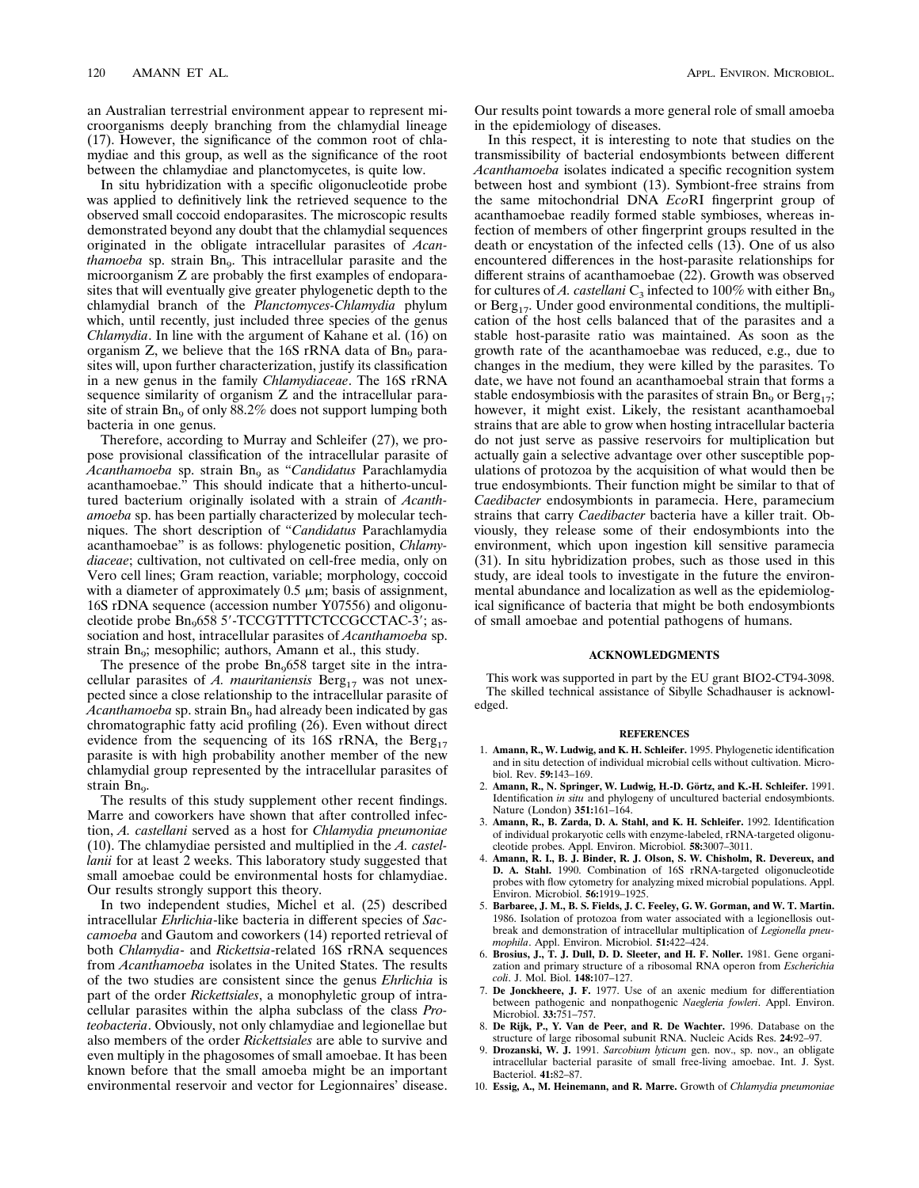an Australian terrestrial environment appear to represent microorganisms deeply branching from the chlamydial lineage (17). However, the significance of the common root of chlamydiae and this group, as well as the significance of the root between the chlamydiae and planctomycetes, is quite low.

In situ hybridization with a specific oligonucleotide probe was applied to definitively link the retrieved sequence to the observed small coccoid endoparasites. The microscopic results demonstrated beyond any doubt that the chlamydial sequences originated in the obligate intracellular parasites of *Acanthamoeba* sp. strain Bn<sub>9</sub>. This intracellular parasite and the microorganism Z are probably the first examples of endoparasites that will eventually give greater phylogenetic depth to the chlamydial branch of the *Planctomyces-Chlamydia* phylum which, until recently, just included three species of the genus *Chlamydia*. In line with the argument of Kahane et al. (16) on organism  $Z$ , we believe that the 16S rRNA data of  $Bn<sub>9</sub>$  parasites will, upon further characterization, justify its classification in a new genus in the family *Chlamydiaceae*. The 16S rRNA sequence similarity of organism Z and the intracellular parasite of strain  $Bn<sub>9</sub>$  of only 88.2% does not support lumping both bacteria in one genus.

Therefore, according to Murray and Schleifer (27), we propose provisional classification of the intracellular parasite of *Acanthamoeba* sp. strain Bn9 as "*Candidatus* Parachlamydia acanthamoebae." This should indicate that a hitherto-uncultured bacterium originally isolated with a strain of *Acanthamoeba* sp. has been partially characterized by molecular techniques. The short description of "*Candidatus* Parachlamydia acanthamoebae" is as follows: phylogenetic position, *Chlamydiaceae*; cultivation, not cultivated on cell-free media, only on Vero cell lines; Gram reaction, variable; morphology, coccoid with a diameter of approximately  $0.5 \mu m$ ; basis of assignment, 16S rDNA sequence (accession number Y07556) and oligonucleotide probe  $Bn_{9}6585'$ -TCCGTTTTCTCCGCCTAC-3'; association and host, intracellular parasites of *Acanthamoeba* sp. strain Bn<sub>9</sub>; mesophilic; authors, Amann et al., this study.

The presence of the probe  $Bn<sub>9</sub>658$  target site in the intracellular parasites of *A. mauritaniensis* Berg<sub>17</sub> was not unexpected since a close relationship to the intracellular parasite of *Acanthamoeba* sp. strain Bn<sub>9</sub> had already been indicated by gas chromatographic fatty acid profiling (26). Even without direct evidence from the sequencing of its 16S rRNA, the  $\text{Berg}_{17}$ parasite is with high probability another member of the new chlamydial group represented by the intracellular parasites of strain Bn<sub>9</sub>.

The results of this study supplement other recent findings. Marre and coworkers have shown that after controlled infection, *A. castellani* served as a host for *Chlamydia pneumoniae* (10). The chlamydiae persisted and multiplied in the *A. castellanii* for at least 2 weeks. This laboratory study suggested that small amoebae could be environmental hosts for chlamydiae. Our results strongly support this theory.

In two independent studies, Michel et al. (25) described intracellular *Ehrlichia*-like bacteria in different species of *Saccamoeba* and Gautom and coworkers (14) reported retrieval of both *Chlamydia*- and *Rickettsia*-related 16S rRNA sequences from *Acanthamoeba* isolates in the United States. The results of the two studies are consistent since the genus *Ehrlichia* is part of the order *Rickettsiales*, a monophyletic group of intracellular parasites within the alpha subclass of the class *Proteobacteria*. Obviously, not only chlamydiae and legionellae but also members of the order *Rickettsiales* are able to survive and even multiply in the phagosomes of small amoebae. It has been known before that the small amoeba might be an important environmental reservoir and vector for Legionnaires' disease.

Our results point towards a more general role of small amoeba in the epidemiology of diseases.

In this respect, it is interesting to note that studies on the transmissibility of bacterial endosymbionts between different *Acanthamoeba* isolates indicated a specific recognition system between host and symbiont (13). Symbiont-free strains from the same mitochondrial DNA *Eco*RI fingerprint group of acanthamoebae readily formed stable symbioses, whereas infection of members of other fingerprint groups resulted in the death or encystation of the infected cells (13). One of us also encountered differences in the host-parasite relationships for different strains of acanthamoebae (22). Growth was observed for cultures of *A. castellani*  $C_3$  infected to 100% with either Bn<sub>9</sub> or Berg<sub>17</sub>. Under good environmental conditions, the multiplication of the host cells balanced that of the parasites and a stable host-parasite ratio was maintained. As soon as the growth rate of the acanthamoebae was reduced, e.g., due to changes in the medium, they were killed by the parasites. To date, we have not found an acanthamoebal strain that forms a stable endosymbiosis with the parasites of strain  $Bn<sub>9</sub>$  or  $Berg<sub>17</sub>$ ; however, it might exist. Likely, the resistant acanthamoebal strains that are able to grow when hosting intracellular bacteria do not just serve as passive reservoirs for multiplication but actually gain a selective advantage over other susceptible populations of protozoa by the acquisition of what would then be true endosymbionts. Their function might be similar to that of *Caedibacter* endosymbionts in paramecia. Here, paramecium strains that carry *Caedibacter* bacteria have a killer trait. Obviously, they release some of their endosymbionts into the environment, which upon ingestion kill sensitive paramecia (31). In situ hybridization probes, such as those used in this study, are ideal tools to investigate in the future the environmental abundance and localization as well as the epidemiological significance of bacteria that might be both endosymbionts of small amoebae and potential pathogens of humans.

## **ACKNOWLEDGMENTS**

This work was supported in part by the EU grant BIO2-CT94-3098. The skilled technical assistance of Sibylle Schadhauser is acknowledged.

#### **REFERENCES**

- 1. **Amann, R., W. Ludwig, and K. H. Schleifer.** 1995. Phylogenetic identification and in situ detection of individual microbial cells without cultivation. Microbiol. Rev. **59:**143–169.
- 2. **Amann, R., N. Springer, W. Ludwig, H.-D. Go¨rtz, and K.-H. Schleifer.** 1991. Identification *in situ* and phylogeny of uncultured bacterial endosymbionts. Nature (London) **351:**161–164.
- 3. **Amann, R., B. Zarda, D. A. Stahl, and K. H. Schleifer.** 1992. Identification of individual prokaryotic cells with enzyme-labeled, rRNA-targeted oligonucleotide probes. Appl. Environ. Microbiol. **58:**3007–3011.
- 4. **Amann, R. I., B. J. Binder, R. J. Olson, S. W. Chisholm, R. Devereux, and D. A. Stahl.** 1990. Combination of 16S rRNA-targeted oligonucleotide probes with flow cytometry for analyzing mixed microbial populations. Appl. Environ. Microbiol. **56:**1919–1925.
- 5. **Barbaree, J. M., B. S. Fields, J. C. Feeley, G. W. Gorman, and W. T. Martin.** 1986. Isolation of protozoa from water associated with a legionellosis outbreak and demonstration of intracellular multiplication of *Legionella pneumophila*. Appl. Environ. Microbiol. **51:**422–424.
- 6. **Brosius, J., T. J. Dull, D. D. Sleeter, and H. F. Noller.** 1981. Gene organization and primary structure of a ribosomal RNA operon from *Escherichia coli*. J. Mol. Biol. **148:**107–127.
- 7. **De Jonckheere, J. F.** 1977. Use of an axenic medium for differentiation between pathogenic and nonpathogenic *Naegleria fowleri*. Appl. Environ. Microbiol. **33:**751–757.
- 8. **De Rijk, P., Y. Van de Peer, and R. De Wachter.** 1996. Database on the structure of large ribosomal subunit RNA. Nucleic Acids Res. **24:**92–97.
- 9. **Drozanski, W. J.** 1991. *Sarcobium lyticum* gen. nov., sp. nov., an obligate intracellular bacterial parasite of small free-living amoebae. Int. J. Syst. Bacteriol. **41:**82–87.
- 10. **Essig, A., M. Heinemann, and R. Marre.** Growth of *Chlamydia pneumoniae*